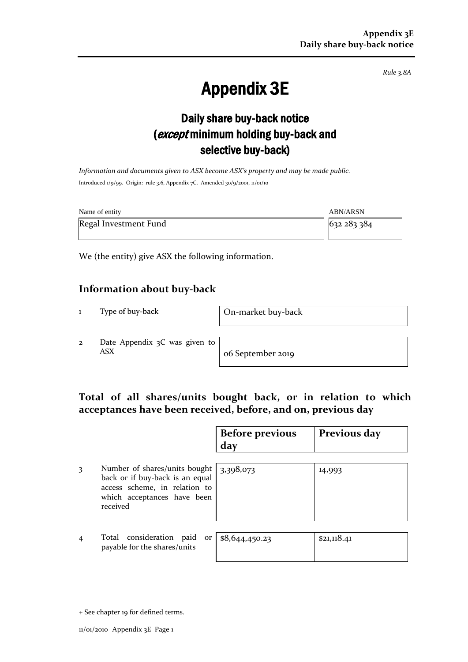*Rule 3.8A*

# Appendix 3E

## Daily share buy-back notice (except minimum holding buy-back and selective buy-back)

*Information and documents given to ASX become ASX's property and may be made public.* Introduced 1/9/99. Origin: rule 3.6, Appendix 7C. Amended 30/9/2001, 11/01/10

| Name of entity        | <b>ABN/ARSN</b> |
|-----------------------|-----------------|
| Regal Investment Fund | 632 283 384     |

We (the entity) give ASX the following information.

#### **Information about buy-back**

1 Type of buy-back On-market buy-back

2 Date Appendix 3C was given to ASX o6 September 2019

#### **Total of all shares/units bought back, or in relation to which acceptances have been received, before, and on, previous day**

|                |                                                                                                                                              | <b>Before previous</b><br>day | Previous day |
|----------------|----------------------------------------------------------------------------------------------------------------------------------------------|-------------------------------|--------------|
| 3              | Number of shares/units bought<br>back or if buy-back is an equal<br>access scheme, in relation to<br>which acceptances have been<br>received | 3,398,073                     | 14,993       |
| $\overline{4}$ | Total consideration paid<br>or<br>payable for the shares/units                                                                               | \$8,644,450.23                | \$21,118.41  |

<sup>+</sup> See chapter 19 for defined terms.